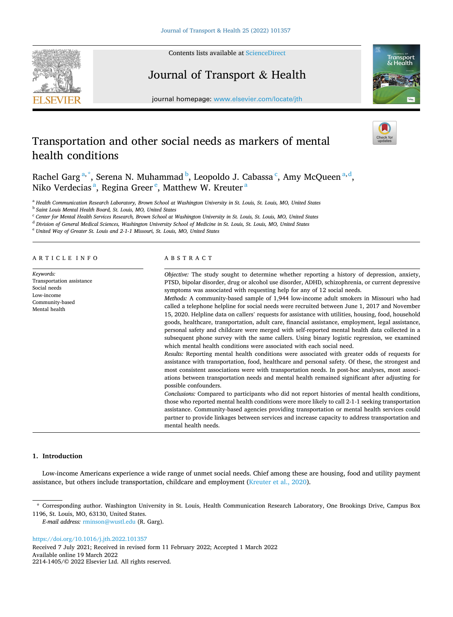Contents lists available at [ScienceDirect](www.sciencedirect.com/science/journal/22141405)







journal homepage: [www.elsevier.com/locate/jth](https://www.elsevier.com/locate/jth) 

# Transportation and other social needs as markers of mental health conditions

Rachel Garg<sup>a,\*</sup>, Serena N. Muhammad <sup>b</sup>, Leopoldo J. Cabassa<sup>c</sup>, Amy McQueen<sup>a,d</sup>, Niko Verdecias<sup>a</sup>, Regina Greer<sup>e</sup>, Matthew W. Kreuter<sup>a</sup>

<sup>a</sup> *Health Communication Research Laboratory, Brown School at Washington University in St. Louis, St. Louis, MO, United States* 

<sup>b</sup> *Saint Louis Mental Health Board, St. Louis, MO, United States* 

<sup>c</sup> *Center for Mental Health Services Research, Brown School at Washington University in St. Louis, St. Louis, MO, United States* 

<sup>d</sup> *Division of General Medical Sciences, Washington University School of Medicine in St. Louis, St. Louis, MO, United States* 

<sup>e</sup> *United Way of Greater St. Louis and 2-1-1 Missouri, St. Louis, MO, United States* 

## ARTICLE INFO

*Keywords:*  Transportation assistance Social needs Low-income Community-based Mental health

## ABSTRACT

*Objective:* The study sought to determine whether reporting a history of depression, anxiety, PTSD, bipolar disorder, drug or alcohol use disorder, ADHD, schizophrenia, or current depressive symptoms was associated with requesting help for any of 12 social needs. *Methods:* A community-based sample of 1,944 low-income adult smokers in Missouri who had called a telephone helpline for social needs were recruited between June 1, 2017 and November 15, 2020. Helpline data on callers' requests for assistance with utilities, housing, food, household goods, healthcare, transportation, adult care, financial assistance, employment, legal assistance, personal safety and childcare were merged with self-reported mental health data collected in a subsequent phone survey with the same callers. Using binary logistic regression, we examined which mental health conditions were associated with each social need. *Results:* Reporting mental health conditions were associated with greater odds of requests for assistance with transportation, food, healthcare and personal safety. Of these, the strongest and

most consistent associations were with transportation needs. In post-hoc analyses, most associations between transportation needs and mental health remained significant after adjusting for possible confounders.

*Conclusions:* Compared to participants who did not report histories of mental health conditions, those who reported mental health conditions were more likely to call 2-1-1 seeking transportation assistance. Community-based agencies providing transportation or mental health services could partner to provide linkages between services and increase capacity to address transportation and mental health needs.

## **1. Introduction**

Low-income Americans experience a wide range of unmet social needs. Chief among these are housing, food and utility payment assistance, but others include transportation, childcare and employment ([Kreuter et al., 2020\)](#page-7-0).

*E-mail address:* [rminson@wustl.edu](mailto:rminson@wustl.edu) (R. Garg).

<https://doi.org/10.1016/j.jth.2022.101357>

Available online 19 March 2022 2214-1405/© 2022 Elsevier Ltd. All rights reserved. Received 7 July 2021; Received in revised form 11 February 2022; Accepted 1 March 2022



<sup>\*</sup> Corresponding author. Washington University in St. Louis, Health Communication Research Laboratory, One Brookings Drive, Campus Box 1196, St. Louis, MO, 63130, United States.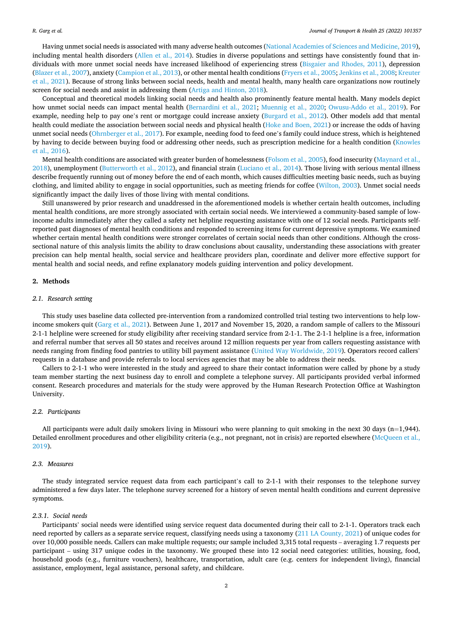Having unmet social needs is associated with many adverse health outcomes ([National Academies of Sciences and Medicine, 2019](#page-7-0)), including mental health disorders [\(Allen et al., 2014\)](#page-7-0). Studies in diverse populations and settings have consistently found that individuals with more unmet social needs have increased likelihood of experiencing stress ([Bisgaier and Rhodes, 2011\)](#page-7-0), depression [\(Blazer et al., 2007](#page-7-0)), anxiety ([Campion et al., 2013\)](#page-7-0), or other mental health conditions ([Fryers et al., 2005; Jenkins et al., 2008; Kreuter](#page-7-0) [et al., 2021](#page-7-0)). Because of strong links between social needs, health and mental health, many health care organizations now routinely screen for social needs and assist in addressing them [\(Artiga and Hinton, 2018\)](#page-7-0).

Conceptual and theoretical models linking social needs and health also prominently feature mental health. Many models depict how unmet social needs can impact mental health ([Bernardini et al., 2021;](#page-7-0) [Muennig et al., 2020;](#page-7-0) [Owusu-Addo et al., 2019](#page-7-0)). For example, needing help to pay one's rent or mortgage could increase anxiety ([Burgard et al., 2012\)](#page-7-0). Other models add that mental health could mediate the association between social needs and physical health [\(Hoke and Boen, 2021\)](#page-7-0) or increase the odds of having unmet social needs [\(Ohrnberger et al., 2017](#page-7-0)). For example, needing food to feed one's family could induce stress, which is heightened by having to decide between buying food or addressing other needs, such as prescription medicine for a health condition ([Knowles](#page-7-0) [et al., 2016](#page-7-0)).

Mental health conditions are associated with greater burden of homelessness [\(Folsom et al., 2005\)](#page-7-0), food insecurity ([Maynard et al.,](#page-7-0) [2018\)](#page-7-0), unemployment ([Butterworth et al., 2012\)](#page-7-0), and financial strain ([Luciano et al., 2014\)](#page-7-0). Those living with serious mental illness describe frequently running out of money before the end of each month, which causes difficulties meeting basic needs, such as buying clothing, and limited ability to engage in social opportunities, such as meeting friends for coffee [\(Wilton, 2003\)](#page-8-0). Unmet social needs significantly impact the daily lives of those living with mental conditions.

Still unanswered by prior research and unaddressed in the aforementioned models is whether certain health outcomes, including mental health conditions, are more strongly associated with certain social needs. We interviewed a community-based sample of lowincome adults immediately after they called a safety net helpline requesting assistance with one of 12 social needs. Participants selfreported past diagnoses of mental health conditions and responded to screening items for current depressive symptoms. We examined whether certain mental health conditions were stronger correlates of certain social needs than other conditions. Although the crosssectional nature of this analysis limits the ability to draw conclusions about causality, understanding these associations with greater precision can help mental health, social service and healthcare providers plan, coordinate and deliver more effective support for mental health and social needs, and refine explanatory models guiding intervention and policy development.

### **2. Methods**

# *2.1. Research setting*

This study uses baseline data collected pre-intervention from a randomized controlled trial testing two interventions to help low-income smokers quit [\(Garg et al., 2021\)](#page-7-0). Between June 1, 2017 and November 15, 2020, a random sample of callers to the Missouri 2-1-1 helpline were screened for study eligibility after receiving standard service from 2-1-1. The 2-1-1 helpline is a free, information and referral number that serves all 50 states and receives around 12 million requests per year from callers requesting assistance with needs ranging from finding food pantries to utility bill payment assistance [\(United Way Worldwide, 2019\)](#page-8-0). Operators record callers' requests in a database and provide referrals to local services agencies that may be able to address their needs.

Callers to 2-1-1 who were interested in the study and agreed to share their contact information were called by phone by a study team member starting the next business day to enroll and complete a telephone survey. All participants provided verbal informed consent. Research procedures and materials for the study were approved by the Human Research Protection Office at Washington University.

## *2.2. Participants*

All participants were adult daily smokers living in Missouri who were planning to quit smoking in the next 30 days ( $n=1,944$ ). Detailed enrollment procedures and other eligibility criteria (e.g., not pregnant, not in crisis) are reported elsewhere [\(McQueen et al.,](#page-7-0) [2019\)](#page-7-0).

#### *2.3. Measures*

The study integrated service request data from each participant's call to 2-1-1 with their responses to the telephone survey administered a few days later. The telephone survey screened for a history of seven mental health conditions and current depressive symptoms.

#### *2.3.1. Social needs*

Participants' social needs were identified using service request data documented during their call to 2-1-1. Operators track each need reported by callers as a separate service request, classifying needs using a taxonomy ([211 LA County, 2021\)](#page-7-0) of unique codes for over 10,000 possible needs. Callers can make multiple requests; our sample included 3,315 total requests – averaging 1.7 requests per participant – using 317 unique codes in the taxonomy. We grouped these into 12 social need categories: utilities, housing, food, household goods (e.g., furniture vouchers), healthcare, transportation, adult care (e.g. centers for independent living), financial assistance, employment, legal assistance, personal safety, and childcare.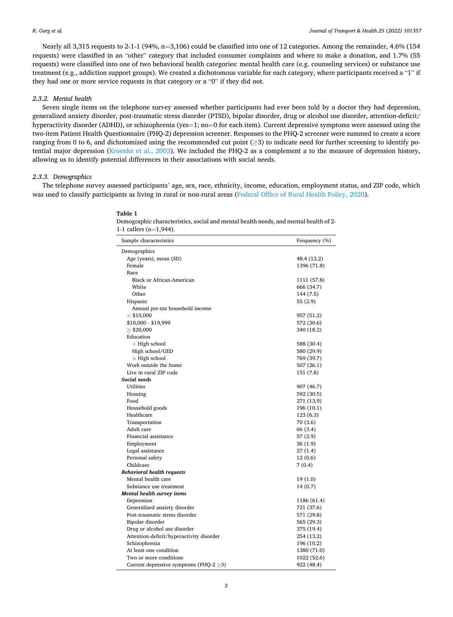<span id="page-2-0"></span>Nearly all 3,315 requests to 2-1-1 (94%, n=3,106) could be classified into one of 12 categories. Among the remainder, 4.6% (154 requests) were classified in an "other" category that included consumer complaints and where to make a donation, and 1.7% (55 requests) were classified into one of two behavioral health categories: mental health care (e.g. counseling services) or substance use treatment (e.g., addiction support groups). We created a dichotomous variable for each category, where participants received a "1" if they had one or more service requests in that category or a "0" if they did not.

## *2.3.2. Mental health*

Seven single items on the telephone survey assessed whether participants had ever been told by a doctor they had depression, generalized anxiety disorder, post-traumatic stress disorder (PTSD), bipolar disorder, drug or alcohol use disorder, attention-deficit/ hyperactivity disorder (ADHD), or schizophrenia (yes=1; no=0 for each item). Current depressive symptoms were assessed using the two-item Patient Health Questionnaire (PHQ-2) depression screener. Responses to the PHQ-2 screener were summed to create a score ranging from 0 to 6, and dichotomized using the recommended cut point  $(>3)$  to indicate need for further screening to identify potential major depression ([Kroenke et al., 2003\)](#page-7-0). We included the PHQ-2 as a complement a to the measure of depression history, allowing us to identify potential differences in their associations with social needs.

## *2.3.3. Demographics*

The telephone survey assessed participants' age, sex, race, ethnicity, income, education, employment status, and ZIP code, which was used to classify participants as living in rural or non-rural areas [\(Federal Office of Rural Health Policy, 2020](#page-7-0)).

| Sample characteristics                       | Frequency (%) |  |  |  |
|----------------------------------------------|---------------|--|--|--|
| Demographics                                 |               |  |  |  |
| Age (years), mean (SD)                       | 48.4 (12.2)   |  |  |  |
| Female                                       | 1396 (71.8)   |  |  |  |
| Race                                         |               |  |  |  |
| <b>Black or African-American</b>             | 1111 (57.8)   |  |  |  |
| White                                        | 666 (34.7)    |  |  |  |
| Other                                        | 144 (7.5)     |  |  |  |
| Hispanic                                     | 55(2.9)       |  |  |  |
| Annual pre-tax household income              |               |  |  |  |
| $<$ \$10,000                                 | 957 (51.2)    |  |  |  |
| \$10,000 - \$19,999                          | 572 (30.6)    |  |  |  |
| $\geq$ \$20,000                              | 340 (18.2)    |  |  |  |
| Education                                    |               |  |  |  |
| $<$ High school                              | 588 (30.4)    |  |  |  |
| High school/GED                              | 580 (29.9)    |  |  |  |
| $>$ High school                              | 769 (39.7)    |  |  |  |
| Work outside the home                        | 507 (26.1)    |  |  |  |
| Live in rural ZIP code                       | 151 (7.8)     |  |  |  |
| Social needs                                 |               |  |  |  |
| <b>Utilities</b>                             | 907 (46.7)    |  |  |  |
| Housing                                      | 592 (30.5)    |  |  |  |
| Food                                         | 271 (13.9)    |  |  |  |
| Household goods                              | 196 (10.1)    |  |  |  |
| Healthcare                                   | 123 (6.3)     |  |  |  |
| Transportation                               | 70 (3.6)      |  |  |  |
| Adult care                                   | 66 (3.4)      |  |  |  |
| Financial assistance                         | 57 (2.9)      |  |  |  |
| Employment                                   | 36 (1.9)      |  |  |  |
| Legal assistance                             | 27 (1.4)      |  |  |  |
| Personal safety                              | 12(0.6)       |  |  |  |
| Childcare                                    | 7(0.4)        |  |  |  |
| <b>Behavioral health requests</b>            |               |  |  |  |
| Mental health care                           | 19 (1.0)      |  |  |  |
| Substance use treatment                      | 14 (0.7)      |  |  |  |
| Mental health survey items                   |               |  |  |  |
| Depression                                   | 1186 (61.4)   |  |  |  |
| Generalized anxiety disorder                 | 721 (37.6)    |  |  |  |
| Post-traumatic stress disorder               | 571 (29.8)    |  |  |  |
| Bipolar disorder                             | 565 (29.3)    |  |  |  |
| Drug or alcohol use disorder                 | 375 (19.4)    |  |  |  |
| Attention-deficit/hyperactivity disorder     | 254 (13.2)    |  |  |  |
| Schizophrenia                                | 196 (10.2)    |  |  |  |
| At least one condition                       | 1380 (71.0)   |  |  |  |
| Two or more conditions                       | 1022 (52.6)   |  |  |  |
| Current depressive symptoms (PHQ-2 $\geq$ 3) | 922 (48.4)    |  |  |  |

**Table 1**  Demographic characteristics, social and mental health needs, and mental health of 2-

3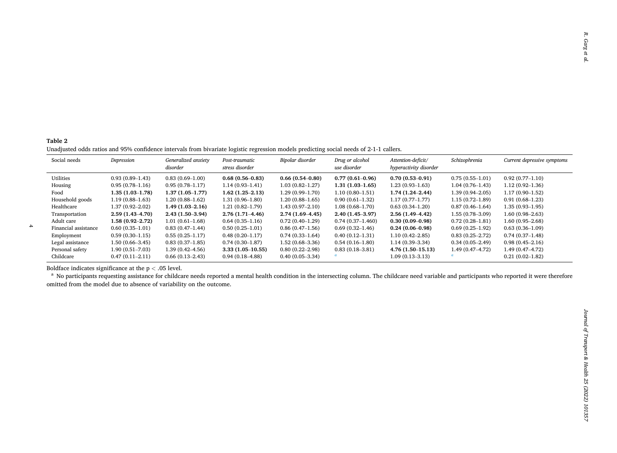<span id="page-3-0"></span>**Table 2**  Unadjusted odds ratios and 95% confidence intervals from bivariate logistic regression models predicting social needs of 2-1-1 callers.

| Social needs         | Depression          | Generalized anxiety<br>disorder | Post-traumatic<br>stress disorder | Bipolar disorder    | Drug or alcohol<br>use disorder | Attention-deficit/<br>hyperactivity disorder | Schizophrenia       | Current depressive symptoms |
|----------------------|---------------------|---------------------------------|-----------------------------------|---------------------|---------------------------------|----------------------------------------------|---------------------|-----------------------------|
| Utilities            | $0.93(0.89-1.43)$   | $0.83(0.69-1.00)$               | $0.68(0.56 - 0.83)$               | $0.66(0.54 - 0.80)$ | $0.77(0.61 - 0.96)$             | $0.70(0.53 - 0.91)$                          | $0.75(0.55-1.01)$   | $0.92(0.77-1.10)$           |
| Housing              | $0.95(0.78-1.16)$   | $0.95(0.78-1.17)$               | $1.14(0.93-1.41)$                 | $1.03(0.82 - 1.27)$ | $1.31(1.03-1.65)$               | $1.23(0.93 - 1.63)$                          | $1.04(0.76 - 1.43)$ | $1.12(0.92 - 1.36)$         |
| Food                 | $1.35(1.03-1.78)$   | $1.37(1.05-1.77)$               | $1.62(1.25-2.13)$                 | $1.29(0.99-1.70)$   | $1.10(0.80-1.51)$               | $1.74(1.24 - 2.44)$                          | $1.39(0.94 - 2.05)$ | $1.17(0.90-1.52)$           |
| Household goods      | $1.19(0.88 - 1.63)$ | $1.20(0.88-1.62)$               | $1.31(0.96 - 1.80)$               | $1.20(0.88 - 1.65)$ | $0.90(0.61 - 1.32)$             | $1.17(0.77-1.77)$                            | $1.15(0.72 - 1.89)$ | $0.91(0.68 - 1.23)$         |
| Healthcare           | $1.37(0.92 - 2.02)$ | $1.49(1.03-2.16)$               | $1.21(0.82 - 1.79)$               | $1.43(0.97-2.10)$   | $1.08(0.68-1.70)$               | $0.63(0.34-1.20)$                            | $0.87(0.46 - 1.64)$ | $1.35(0.93-1.95)$           |
| Transportation       | $2.59(1.43-4.70)$   | $2.43(1.50-3.94)$               | $2.76(1.71-4.46)$                 | $2.74(1.69-4.45)$   | $2.40(1.45-3.97)$               | $2.56(1.49-4.42)$                            | $1.55(0.78-3.09)$   | $1.60(0.98-2.63)$           |
| Adult care           | $1.58(0.92 - 2.72)$ | $1.01(0.61 - 1.68)$             | $0.64(0.35-1.16)$                 | $0.72(0.40-1.29)$   | $0.74(0.37-1.460)$              | $0.30(0.09 - 0.98)$                          | $0.72(0.28 - 1.81)$ | $1.60(0.95-2.68)$           |
| Financial assistance | $0.60(0.35-1.01)$   | $0.83(0.47-1.44)$               | $0.50(0.25-1.01)$                 | $0.86(0.47-1.56)$   | $0.69(0.32-1.46)$               | $0.24(0.06-0.98)$                            | $0.69(0.25-1.92)$   | $0.63(0.36-1.09)$           |
| Employment           | $0.59(0.30-1.15)$   | $0.55(0.25-1.17)$               | $0.48(0.20-1.17)$                 | $0.74(0.33-1.64)$   | $0.40(0.12 - 1.31)$             | $1.10(0.42 - 2.85)$                          | $0.83(0.25 - 2.72)$ | $0.74(0.37-1.48)$           |
| Legal assistance     | $1.50(0.66 - 3.45)$ | $0.83(0.37-1.85)$               | $0.74(0.30-1.87)$                 | $1.52(0.68 - 3.36)$ | $0.54(0.16-1.80)$               | $1.14(0.39-3.34)$                            | $0.34(0.05-2.49)$   | $0.98(0.45 - 2.16)$         |
| Personal safety      | $1.90(0.51 - 7.03)$ | $1.39(0.42 - 4.56)$             | $3.33(1.05-10.55)$                | $0.80(0.22 - 2.98)$ | $0.83(0.18 - 3.81)$             | $4.76(1.50-15.13)$                           | $1.49(0.47 - 4.72)$ | $1.49(0.47-4.72)$           |
| Childcare            | $0.47(0.11 - 2.11)$ | $0.66(0.13-2.43)$               | $0.94(0.18 - 4.88)$               | $0.40(0.05-3.34)$   |                                 | $1.09(0.13 - 3.13)$                          |                     | $0.21(0.02 - 1.82)$         |

Boldface indicates significance at the p *<sup>&</sup>lt;* .05 level.

4

 $^{\text{a}}$  No participants requesting assistance for childcare needs reported a mental health condition in the intersecting column. The childcare need variable and participants who reported it were therefore omitted from the model due to absence of variability on the outcome.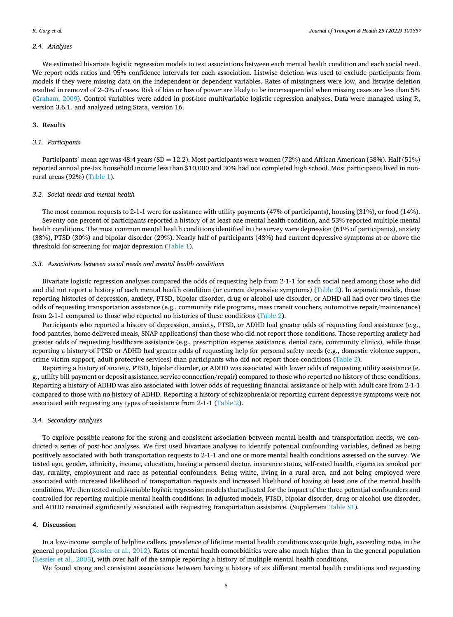## *2.4. Analyses*

We estimated bivariate logistic regression models to test associations between each mental health condition and each social need. We report odds ratios and 95% confidence intervals for each association. Listwise deletion was used to exclude participants from models if they were missing data on the independent or dependent variables. Rates of missingness were low, and listwise deletion resulted in removal of 2–3% of cases. Risk of bias or loss of power are likely to be inconsequential when missing cases are less than 5% [\(Graham, 2009](#page-7-0)). Control variables were added in post-hoc multivariable logistic regression analyses. Data were managed using R, version 3.6.1, and analyzed using Stata, version 16.

## **3. Results**

## *3.1. Participants*

Participants' mean age was 48.4 years (SD = 12.2). Most participants were women (72%) and African American (58%). Half (51%) reported annual pre-tax household income less than \$10,000 and 30% had not completed high school. Most participants lived in nonrural areas (92%) [\(Table 1\)](#page-2-0).

#### *3.2. Social needs and mental health*

The most common requests to 2-1-1 were for assistance with utility payments (47% of participants), housing (31%), or food (14%). Seventy one percent of participants reported a history of at least one mental health condition, and 53% reported multiple mental health conditions. The most common mental health conditions identified in the survey were depression (61% of participants), anxiety (38%), PTSD (30%) and bipolar disorder (29%). Nearly half of participants (48%) had current depressive symptoms at or above the threshold for screening for major depression [\(Table 1\)](#page-2-0).

### *3.3. Associations between social needs and mental health conditions*

Bivariate logistic regression analyses compared the odds of requesting help from 2-1-1 for each social need among those who did and did not report a history of each mental health condition (or current depressive symptoms) ([Table 2](#page-3-0)). In separate models, those reporting histories of depression, anxiety, PTSD, bipolar disorder, drug or alcohol use disorder, or ADHD all had over two times the odds of requesting transportation assistance (e.g., community ride programs, mass transit vouchers, automotive repair/maintenance) from 2-1-1 compared to those who reported no histories of these conditions [\(Table 2\)](#page-3-0).

Participants who reported a history of depression, anxiety, PTSD, or ADHD had greater odds of requesting food assistance (e.g., food pantries, home delivered meals, SNAP applications) than those who did not report those conditions. Those reporting anxiety had greater odds of requesting healthcare assistance (e.g., prescription expense assistance, dental care, community clinics), while those reporting a history of PTSD or ADHD had greater odds of requesting help for personal safety needs (e.g., domestic violence support, crime victim support, adult protective services) than participants who did not report those conditions ([Table 2](#page-3-0)).

Reporting a history of anxiety, PTSD, bipolar disorder, or ADHD was associated with lower odds of requesting utility assistance (e. g., utility bill payment or deposit assistance, service connection/repair) compared to those who reported no history of these conditions. Reporting a history of ADHD was also associated with lower odds of requesting financial assistance or help with adult care from 2-1-1 compared to those with no history of ADHD. Reporting a history of schizophrenia or reporting current depressive symptoms were not associated with requesting any types of assistance from 2-1-1 ([Table 2](#page-3-0)).

#### *3.4. Secondary analyses*

To explore possible reasons for the strong and consistent association between mental health and transportation needs, we conducted a series of post-hoc analyses. We first used bivariate analyses to identify potential confounding variables, defined as being positively associated with both transportation requests to 2-1-1 and one or more mental health conditions assessed on the survey. We tested age, gender, ethnicity, income, education, having a personal doctor, insurance status, self-rated health, cigarettes smoked per day, rurality, employment and race as potential confounders. Being white, living in a rural area, and not being employed were associated with increased likelihood of transportation requests and increased likelihood of having at least one of the mental health conditions. We then tested multivariable logistic regression models that adjusted for the impact of the three potential confounders and controlled for reporting multiple mental health conditions. In adjusted models, PTSD, bipolar disorder, drug or alcohol use disorder, and ADHD remained significantly associated with requesting transportation assistance. (Supplement Table S1).

#### **4. Discussion**

In a low-income sample of helpline callers, prevalence of lifetime mental health conditions was quite high, exceeding rates in the general population ([Kessler et al., 2012](#page-7-0)). Rates of mental health comorbidities were also much higher than in the general population [\(Kessler et al., 2005](#page-7-0)), with over half of the sample reporting a history of multiple mental health conditions.

We found strong and consistent associations between having a history of six different mental health conditions and requesting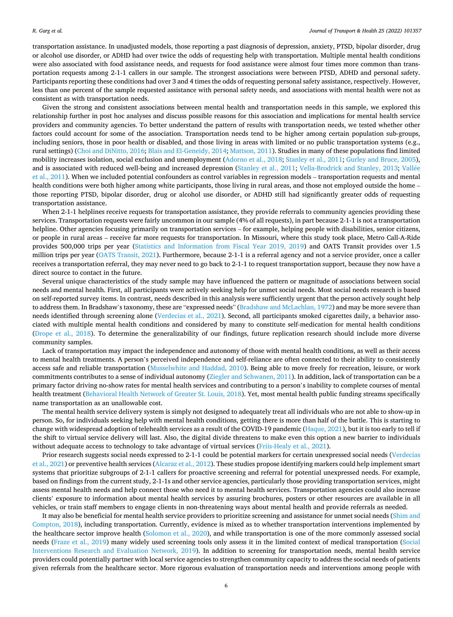transportation assistance. In unadjusted models, those reporting a past diagnosis of depression, anxiety, PTSD, bipolar disorder, drug or alcohol use disorder, or ADHD had over twice the odds of requesting help with transportation. Multiple mental health conditions were also associated with food assistance needs, and requests for food assistance were almost four times more common than transportation requests among 2-1-1 callers in our sample. The strongest associations were between PTSD, ADHD and personal safety. Participants reporting these conditions had over 3 and 4 times the odds of requesting personal safety assistance, respectively. However, less than one percent of the sample requested assistance with personal safety needs, and associations with mental health were not as consistent as with transportation needs.

Given the strong and consistent associations between mental health and transportation needs in this sample, we explored this relationship further in post hoc analyses and discuss possible reasons for this association and implications for mental health service providers and community agencies. To better understand the pattern of results with transportation needs, we tested whether other factors could account for some of the association. Transportation needs tend to be higher among certain population sub-groups, including seniors, those in poor health or disabled, and those living in areas with limited or no public transportation systems (e.g., rural settings) ([Choi and DiNitto, 2016; Blais and El-Geneidy, 2014](#page-7-0); [Mattson, 2011](#page-7-0)). Studies in many of these populations find limited mobility increases isolation, social exclusion and unemployment ([Adorno et al., 2018](#page-7-0); [Stanley et al., 2011; Gurley and Bruce, 2005](#page-7-0)), and is associated with reduced well-being and increased depression ([Stanley et al., 2011](#page-7-0); [Vella-Brodrick and Stanley, 2013](#page-8-0); [Vall](#page-8-0)ée [et al., 2011\)](#page-8-0). When we included potential confounders as control variables in regression models – transportation requests and mental health conditions were both higher among white participants, those living in rural areas, and those not employed outside the home – those reporting PTSD, bipolar disorder, drug or alcohol use disorder, or ADHD still had significantly greater odds of requesting transportation assistance.

When 2-1-1 helplines receive requests for transportation assistance, they provide referrals to community agencies providing these services. Transportation requests were fairly uncommon in our sample (4% of all requests), in part because 2-1-1 is not a transportation helpline. Other agencies focusing primarily on transportation services – for example, helping people with disabilities, senior citizens, or people in rural areas – receive far more requests for transportation. In Missouri, where this study took place, Metro Call-A-Ride provides 500,000 trips per year [\(Statistics and Information from Fiscal Year 2019, 2019](#page-8-0)) and OATS Transit provides over 1.5 million trips per year ([OATS Transit, 2021](#page-8-0)). Furthermore, because 2-1-1 is a referral agency and not a service provider, once a caller receives a transportation referral, they may never need to go back to 2-1-1 to request transportation support, because they now have a direct source to contact in the future.

Several unique characteristics of the study sample may have influenced the pattern or magnitude of associations between social needs and mental health. First, all participants were actively seeking help for unmet social needs. Most social needs research is based on self-reported survey items. In contrast, needs described in this analysis were sufficiently urgent that the person actively sought help to address them. In Bradshaw's taxonomy, these are "expressed needs" [\(Bradshaw and McLachlan, 1972](#page-7-0)) and may be more severe than needs identified through screening alone [\(Verdecias et al., 2021](#page-8-0)). Second, all participants smoked cigarettes daily, a behavior associated with multiple mental health conditions and considered by many to constitute self-medication for mental health conditions [\(Drope et al., 2018](#page-7-0)). To determine the generalizability of our findings, future replication research should include more diverse community samples.

Lack of transportation may impact the independence and autonomy of those with mental health conditions, as well as their access to mental health treatments. A person's perceived independence and self-reliance are often connected to their ability to consistently access safe and reliable transportation ([Musselwhite and Haddad, 2010](#page-7-0)). Being able to move freely for recreation, leisure, or work commitments contributes to a sense of individual autonomy ([Ziegler and Schwanen, 2011\)](#page-8-0). In addition, lack of transportation can be a primary factor driving no-show rates for mental health services and contributing to a person's inability to complete courses of mental health treatment ([Behavioral Health Network of Greater St. Louis, 2018](#page-7-0)). Yet, most mental health public funding streams specifically name transportation as an unallowable cost.

The mental health service delivery system is simply not designed to adequately treat all individuals who are not able to show-up in person. So, for individuals seeking help with mental health conditions, getting there is more than half of the battle. This is starting to change with widespread adoption of telehealth services as a result of the COVID-19 pandemic [\(Haque, 2021\)](#page-7-0), but it is too early to tell if the shift to virtual service delivery will last. Also, the digital divide threatens to make even this option a new barrier to individuals without adequate access to technology to take advantage of virtual services ([Friis-Healy et al., 2021\)](#page-7-0).

Prior research suggests social needs expressed to 2-1-1 could be potential markers for certain unexpressed social needs [\(Verdecias](#page-8-0) [et al., 2021\)](#page-8-0) or preventive health services ([Alcaraz et al., 2012](#page-7-0)). These studies propose identifying markers could help implement smart systems that prioritize subgroups of 2-1-1 callers for proactive screening and referral for potential unexpressed needs. For example, based on findings from the current study, 2-1-1s and other service agencies, particularly those providing transportation services, might assess mental health needs and help connect those who need it to mental health services. Transportation agencies could also increase clients' exposure to information about mental health services by assuring brochures, posters or other resources are available in all vehicles, or train staff members to engage clients in non-threatening ways about mental health and provide referrals as needed.

It may also be beneficial for mental health service providers to prioritize screening and assistance for unmet social needs [\(Shim and](#page-7-0) [Compton, 2018\)](#page-7-0), including transportation. Currently, evidence is mixed as to whether transportation interventions implemented by the healthcare sector improve health [\(Solomon et al., 2020\)](#page-7-0), and while transportation is one of the more commonly assessed social needs ([Fraze et al., 2019\)](#page-7-0) many widely used screening tools only assess it in the limited context of medical transportation [\(Social](#page-7-0) [Interventions Research and Evaluation Network, 2019\)](#page-7-0). In addition to screening for transportation needs, mental health service providers could potentially partner with local service agencies to strengthen community capacity to address the social needs of patients given referrals from the healthcare sector. More rigorous evaluation of transportation needs and interventions among people with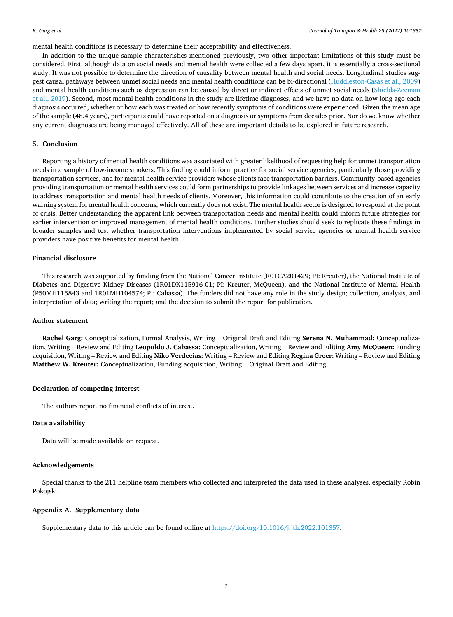mental health conditions is necessary to determine their acceptability and effectiveness.

In addition to the unique sample characteristics mentioned previously, two other important limitations of this study must be considered. First, although data on social needs and mental health were collected a few days apart, it is essentially a cross-sectional study. It was not possible to determine the direction of causality between mental health and social needs. Longitudinal studies suggest causal pathways between unmet social needs and mental health conditions can be bi-directional ([Huddleston-Casas et al., 2009](#page-7-0)) and mental health conditions such as depression can be caused by direct or indirect effects of unmet social needs ([Shields-Zeeman](#page-7-0) [et al., 2019](#page-7-0)). Second, most mental health conditions in the study are lifetime diagnoses, and we have no data on how long ago each diagnosis occurred, whether or how each was treated or how recently symptoms of conditions were experienced. Given the mean age of the sample (48.4 years), participants could have reported on a diagnosis or symptoms from decades prior. Nor do we know whether any current diagnoses are being managed effectively. All of these are important details to be explored in future research.

## **5. Conclusion**

Reporting a history of mental health conditions was associated with greater likelihood of requesting help for unmet transportation needs in a sample of low-income smokers. This finding could inform practice for social service agencies, particularly those providing transportation services, and for mental health service providers whose clients face transportation barriers. Community-based agencies providing transportation or mental health services could form partnerships to provide linkages between services and increase capacity to address transportation and mental health needs of clients. Moreover, this information could contribute to the creation of an early warning system for mental health concerns, which currently does not exist. The mental health sector is designed to respond at the point of crisis. Better understanding the apparent link between transportation needs and mental health could inform future strategies for earlier intervention or improved management of mental health conditions. Further studies should seek to replicate these findings in broader samples and test whether transportation interventions implemented by social service agencies or mental health service providers have positive benefits for mental health.

### **Financial disclosure**

This research was supported by funding from the National Cancer Institute (R01CA201429; PI: Kreuter), the National Institute of Diabetes and Digestive Kidney Diseases (1R01DK115916-01; PI: Kreuter, McQueen), and the National Institute of Mental Health (P50MH115843 and 1R01MH104574; PI: Cabassa). The funders did not have any role in the study design; collection, analysis, and interpretation of data; writing the report; and the decision to submit the report for publication.

## **Author statement**

**Rachel Garg:** Conceptualization, Formal Analysis, Writing – Original Draft and Editing **Serena N. Muhammad:** Conceptualization, Writing – Review and Editing **Leopoldo J. Cabassa:** Conceptualization, Writing – Review and Editing **Amy McQueen:** Funding acquisition, Writing – Review and Editing **Niko Verdecias:** Writing – Review and Editing **Regina Greer:** Writing – Review and Editing **Matthew W. Kreuter:** Conceptualization, Funding acquisition, Writing – Original Draft and Editing.

#### **Declaration of competing interest**

The authors report no financial conflicts of interest.

# **Data availability**

Data will be made available on request.

## **Acknowledgements**

Special thanks to the 211 helpline team members who collected and interpreted the data used in these analyses, especially Robin Pokojski.

## **Appendix A. Supplementary data**

Supplementary data to this article can be found online at [https://doi.org/10.1016/j.jth.2022.101357.](https://doi.org/10.1016/j.jth.2022.101357)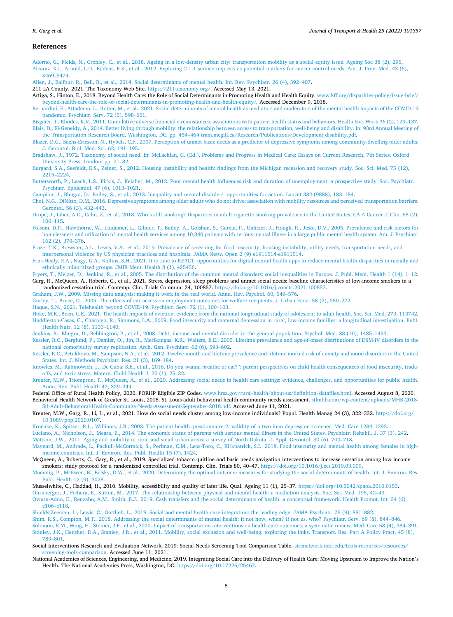#### <span id="page-7-0"></span>*R. Garg et al.*

#### **References**

[Adorno, G., Fields, N., Cronley, C., et al., 2018. Ageing in a low-density urban city: transportation mobility as a social equity issue. Ageing Soc 38 \(2\), 296.](http://refhub.elsevier.com/S2214-1405(22)00029-9/sref2) [Alcaraz, K.I., Arnold, L.D., Eddens, K.S., et al., 2012. Exploring 2-1-1 service requests as potential markers for cancer control needs. Am. J. Prev. Med. 43 \(6\),](http://refhub.elsevier.com/S2214-1405(22)00029-9/sref3)  [S469](http://refhub.elsevier.com/S2214-1405(22)00029-9/sref3)–S474.

[Allen, J., Balfour, R., Bell, R., et al., 2014. Social determinants of mental health. Int. Rev. Psychiatr. 26 \(4\), 392](http://refhub.elsevier.com/S2214-1405(22)00029-9/sref4)–407.

211 LA County, 2021. The Taxonomy Web Site. [https://211taxonomy.org/.](https://211taxonomy.org/) Accessed May 13, 2021.

Artiga, S., Hinton, E., 2018. Beyond Health Care: the Role of Social Determinants in Promoting Health and Health Equity. [www.kff.org/disparities-policy/issue-brief/](http://www.kff.org/disparities-policy/issue-brief/beyond-health-care-the-role-of-social-determinants-in-promoting-health-and-health-equity/) [beyond-health-care-the-role-of-social-determinants-in-promoting-health-and-health-equity/](http://www.kff.org/disparities-policy/issue-brief/beyond-health-care-the-role-of-social-determinants-in-promoting-health-and-health-equity/). Accessed December 9, 2018.

[Bernardini, F., Attademo, L., Rotter, M., et al., 2021. Social determinants of mental health as mediators and moderators of the mental health impacts of the COVID-19](http://refhub.elsevier.com/S2214-1405(22)00029-9/sref8) [pandemic. Psychiatr. Serv. 72 \(5\), 598](http://refhub.elsevier.com/S2214-1405(22)00029-9/sref8)–601.

[Bisgaier, J., Rhodes, K.V., 2011. Cumulative adverse financial circumstances: associations with patient health status and behaviors. Health Soc. Work 36 \(2\), 129](http://refhub.elsevier.com/S2214-1405(22)00029-9/sref9)–137. [Blais, D., El-Geneidy, A., 2014. Better living through mobility: the relationship between access to transportation, well-being and disability. In: 93rd Annual Meeting of](http://refhub.elsevier.com/S2214-1405(22)00029-9/sref10) the Transportation Research Board, Washington, DC, pp. 454–[464 tram.mcgill.ca/Research/Publications/Development\\_disability.pdf](http://refhub.elsevier.com/S2214-1405(22)00029-9/sref10).

[Blazer, D.G., Sachs-Ericsson, N., Hybels, C.F., 2007. Perception of unmet basic needs as a predictor of depressive symptoms among community-dwelling older adults.](http://refhub.elsevier.com/S2214-1405(22)00029-9/sref11) [J. Gerontol. Biol. Med. Sci. 62, 191](http://refhub.elsevier.com/S2214-1405(22)00029-9/sref11)–195.

[Bradshaw, J., 1972. Taxonomy of social need. In: McLachlan, G. \(Ed.\), Problems and Progress in Medical Care: Essays on Current Research, 7th Series. Oxford](http://refhub.elsevier.com/S2214-1405(22)00029-9/sref12) [University Press, London, pp. 71](http://refhub.elsevier.com/S2214-1405(22)00029-9/sref12)–82.

[Burgard, S.A., Seefeldt, K.S., Zelner, S., 2012. Housing instability and health: findings from the Michigan recession and recovery study. Soc. Sci. Med. 75 \(12\),](http://refhub.elsevier.com/S2214-1405(22)00029-9/sref13) 2215–[2224.](http://refhub.elsevier.com/S2214-1405(22)00029-9/sref13)

[Butterworth, P., Leach, L.S., Pirkis, J., Kelaher, M., 2012. Poor mental health influences risk and duration of unemployment: a prospective study. Soc. Psychiatr.](http://refhub.elsevier.com/S2214-1405(22)00029-9/sref14) [Psychiatr. Epidemiol. 47 \(6\), 1013](http://refhub.elsevier.com/S2214-1405(22)00029-9/sref14)–1021.

[Campion, J., Bhugra, D., Bailey, S., et al., 2013. Inequality and mental disorders: opportunities for action. Lancet 382 \(9888\), 183](http://refhub.elsevier.com/S2214-1405(22)00029-9/sref15)–184.

[Choi, N.G., DiNitto, D.M., 2016. Depressive symptoms among older adults who do not drive: association with mobility resources and perceived transportation barriers.](http://refhub.elsevier.com/S2214-1405(22)00029-9/sref16) [Gerontol. 56 \(3\), 432](http://refhub.elsevier.com/S2214-1405(22)00029-9/sref16)–443.

Drope, J., Liber, A.C., Cahn, Z., et al., 2018. Who'[s still smoking? Disparities in adult cigarette smoking prevalence in the United States. CA A Cancer J. Clin. 68 \(2\),](http://refhub.elsevier.com/S2214-1405(22)00029-9/sref17) 106–[115.](http://refhub.elsevier.com/S2214-1405(22)00029-9/sref17)

[Folsom, D.P., Hawthorne, W., Lindamer, L., Gilmer, T., Bailey, A., Golshan, S., Garcia, P., Unützer, J., Hough, R., Jeste, D.V., 2005. Prevalence and risk factors for](http://refhub.elsevier.com/S2214-1405(22)00029-9/sref19) [homelessness and utilization of mental health services among 10,340 patients with serious mental illness in a large public mental health system. Am. J. Psychiatr.](http://refhub.elsevier.com/S2214-1405(22)00029-9/sref19) [162 \(2\), 370](http://refhub.elsevier.com/S2214-1405(22)00029-9/sref19)–376.

[Fraze, T.K., Brewster, A.L., Lewis, V.A., et al., 2019. Prevalence of screening for food insecurity, housing instability, utility needs, transportation needs, and](http://refhub.elsevier.com/S2214-1405(22)00029-9/sref20) [interpersonal violence by US physician practices and hospitals. JAMA Netw. Open 2 \(9\) e1911514-e1911514.](http://refhub.elsevier.com/S2214-1405(22)00029-9/sref20)

[Friis-Healy, E.A., Nagy, G.A., Kollins, S.H., 2021. It is time to REACT: opportunities for digital mental health apps to reduce mental health disparities in racially and](http://refhub.elsevier.com/S2214-1405(22)00029-9/sref21) [ethnically minoritized groups. JMIR Ment. Health 8 \(1\), e25456](http://refhub.elsevier.com/S2214-1405(22)00029-9/sref21).

[Fryers, T., Melzer, D., Jenkins, R., et al., 2005. The distribution of the common mental disorders: social inequalities in Europe. J. Publ. Ment. Health 1 \(14\), 1](http://refhub.elsevier.com/S2214-1405(22)00029-9/sref22)–12. Garg, R., McQueen, A., Roberts, C., et al., 2021. Stress, depression, sleep problems and unmet social needs: baseline characteristics of low-income smokers in a

randomized cessation trial. Contemp. Clin. Trials Commun. 24, 100857. [https://doi.org/10.1016/j.conctc.2021.100857.](https://doi.org/10.1016/j.conctc.2021.100857)

[Graham, J.W., 2009. Missing data analysis: making it work in the real world. Annu. Rev. Psychol. 60, 549](http://refhub.elsevier.com/S2214-1405(22)00029-9/sref23)–576. [Gurley, T., Bruce, D., 2005. The effects of car access on employment outcomes for welfare recipients. J. Urban Econ. 58 \(2\), 250](http://refhub.elsevier.com/S2214-1405(22)00029-9/sref24)–272.

[Haque, S.N., 2021. Telehealth beyond COVID-19. Psychiatr. Serv. 72 \(1\), 100](http://refhub.elsevier.com/S2214-1405(22)00029-9/sref25)–103.

[Hoke, M.K., Boen, C.E., 2021. The health impacts of eviction: evidence from the national longitudinal study of adolescent to adult health. Soc. Sci. Med. 273, 113742.](http://refhub.elsevier.com/S2214-1405(22)00029-9/sref26) [Huddleston-Casas, C., Charnigo, R., Simmons, L.A., 2009. Food insecurity and maternal depression in rural, low-income families: a longitudinal investigation. Publ.](http://refhub.elsevier.com/S2214-1405(22)00029-9/sref27) [Health Nutr. 12 \(8\), 1133](http://refhub.elsevier.com/S2214-1405(22)00029-9/sref27)–1140.

[Jenkins, R., Bhugra, D., Bebbington, P., et al., 2008. Debt, income and mental disorder in the general population. Psychol. Med. 38 \(10\), 1485](http://refhub.elsevier.com/S2214-1405(22)00029-9/sref28)–1493.

[Kessler, R.C., Berglund, P., Demler, O., Jin, R., Merikangas, K.R., Walters, E.E., 2005. Lifetime prevalence and age-of-onset distributions of DSM-IV disorders in the](http://refhub.elsevier.com/S2214-1405(22)00029-9/sref29) [national comorbidity survey replication. Arch. Gen. Psychiatr. 62 \(6\), 593](http://refhub.elsevier.com/S2214-1405(22)00029-9/sref29)–602.

[Kessler, R.C., Petukhova, M., Sampson, N.A., et al., 2012. Twelve-month and lifetime prevalence and lifetime morbid risk of anxiety and mood disorders in the United](http://refhub.elsevier.com/S2214-1405(22)00029-9/sref30) [States. Int. J. Methods Psychiatr. Res. 21 \(3\), 169](http://refhub.elsevier.com/S2214-1405(22)00029-9/sref30)–184.

[Knowles, M., Rabinowich, J., De Cuba, S.E., et al., 2016. Do you wanna breathe or eat?](http://refhub.elsevier.com/S2214-1405(22)00029-9/sref31)": parent perspectives on child health consequences of food insecurity, trade[offs, and toxic stress. Matern. Child Health J. 20 \(1\), 25](http://refhub.elsevier.com/S2214-1405(22)00029-9/sref31)–32.

[Kreuter, M.W., Thompson, T., McQueen, A., et al., 2020. Addressing social needs in health care settings: evidence, challenges, and opportunities for public health.](http://refhub.elsevier.com/S2214-1405(22)00029-9/sref32) [Annu. Rev. Publ. Health 42, 329](http://refhub.elsevier.com/S2214-1405(22)00029-9/sref32)–344.

Federal Office of Rural Health Policy, 2020. FORHP Eligible ZIP Codes. [www.hrsa.gov/rural-health/about-us/definition/datafiles.html](http://www.hrsa.gov/rural-health/about-us/definition/datafiles.html). Accessed August 8, 2020.

Behavioral Health Network of Greater St. Louis, 2018. St. Louis adult behavioral health community needs assessment. [stlmhb.com/wp-content/uploads/MHB-2018-](http://stlmhb.com/wp-content/uploads/MHB-2018-Stl-Adult-Behavioral-Health-Community-Needs-Assessment-September-2018.pdf) [Stl-Adult-Behavioral-Health-Community-Needs-Assessment-September-2018.pdf.](http://stlmhb.com/wp-content/uploads/MHB-2018-Stl-Adult-Behavioral-Health-Community-Needs-Assessment-September-2018.pdf) Accessed June 11, 2021.

Kreuter, M.W., Garg, R., Li, L., et al., 2021. How do social needs cluster among low-income individuals? Popul. Health Manag 24 (3), 322–332. [https://doi.org/](https://doi.org/10.1089/pop.2020.0107) [10.1089/pop.2020.0107](https://doi.org/10.1089/pop.2020.0107).

[Kroenke, K., Spitzer, R.L., Williams, J.B., 2003. The patient health questionnaire-2: validity of a two-item depression screener. Med. Care 1284](http://refhub.elsevier.com/S2214-1405(22)00029-9/sref34a)–1292.

[Luciano, A., Nicholson, J., Meara, E., 2014. The economic status of parents with serious mental illness in the United States. Psychiatr. Rehabil. J. 37 \(3\), 242](http://refhub.elsevier.com/S2214-1405(22)00029-9/sref36).

[Mattson, J.W., 2011. Aging and mobility in rural and small urban areas: a survey of North Dakota. J. Appl. Gerontol. 30 \(6\), 700](http://refhub.elsevier.com/S2214-1405(22)00029-9/sref37)–718.

[Maynard, M., Andrade, L., Packull-McCormick, S., Perlman, C.M., Leos-Toro, C., Kirkpatrick, S.I., 2018. Food insecurity and mental health among females in high](http://refhub.elsevier.com/S2214-1405(22)00029-9/sref38)[income countries. Int. J. Environ. Res. Publ. Health 15 \(7\), 1424.](http://refhub.elsevier.com/S2214-1405(22)00029-9/sref38)

McQueen, A., Roberts, C., Garg, R., et al., 2019. Specialized tobacco quitline and basic needs navigation interventions to increase cessation among low income smokers: study protocol for a randomized controlled trial. Contemp. Clin. Trials 80, 40–47. [https://doi.org/10.1016/j.cct.2019.03.009.](https://doi.org/10.1016/j.cct.2019.03.009)

[Muennig, P., McEwen, B., Belsky, D.W., et al., 2020. Determining the optimal outcome measures for studying the social determinants of health. Int. J. Environ. Res.](http://refhub.elsevier.com/S2214-1405(22)00029-9/sref39) [Publ. Health 17 \(9\), 3028](http://refhub.elsevier.com/S2214-1405(22)00029-9/sref39).

Musselwhite, C., Haddad, H., 2010. Mobility, accessibility and quality of later life. Qual. Ageing 11 (1), 25–37. <https://doi.org/10.5042/qiaoa.2010.0153>.

[Ohrnberger, J., Fichera, E., Sutton, M., 2017. The relationship between physical and mental health: a mediation analysis. Soc. Sci. Med. 195, 42](http://refhub.elsevier.com/S2214-1405(22)00029-9/sref42)–49. [Owusu-Addo, E., Renzaho, A.M., Smith, B.J., 2019. Cash transfers and the social determinants of health: a conceptual framework. Health Promot. Int. 34 \(6\),](http://refhub.elsevier.com/S2214-1405(22)00029-9/sref43) e106–[e118.](http://refhub.elsevier.com/S2214-1405(22)00029-9/sref43)

[Shields-Zeeman, L., Lewis, C., Gottlieb, L., 2019. Social and mental health care integration: the leading edge. JAMA Psychiatr. 76 \(9\), 881](http://refhub.elsevier.com/S2214-1405(22)00029-9/sref44)–882. [Shim, R.S., Compton, M.T., 2018. Addressing the social determinants of mental health: if not now, when? If not us, who? Psychiatr. Serv. 69 \(8\), 844](http://refhub.elsevier.com/S2214-1405(22)00029-9/sref45)–846. [Solomon, E.M., Wing, H., Steiner, J.F., et al., 2020. Impact of transportation interventions on health care outcomes: a systematic review. Med. Care 58 \(4\), 384](http://refhub.elsevier.com/S2214-1405(22)00029-9/sref47)–391. [Stanley, J.K., Hensher, D.A., Stanley, J.R., et al., 2011. Mobility, social exclusion and well-being: exploring the links. Transport. Res. Part A Policy Pract. 45 \(8\),](http://refhub.elsevier.com/S2214-1405(22)00029-9/sref48)  789–[801.](http://refhub.elsevier.com/S2214-1405(22)00029-9/sref48)

Social Interventions Research and Evaluation Network, 2019. Social Needs Screening Tool Comparison Table. [sirenetwork.ucsf.edu/tools-resources/resources/](http://sirenetwork.ucsf.edu/tools-resources/resources/screening-tools-comparison) [screening-tools-comparison](http://sirenetwork.ucsf.edu/tools-resources/resources/screening-tools-comparison). Accessed June 11, 2021.

National Academies of Sciences, Engineering, and Medicine, 2019. Integrating Social Care into the Delivery of Health Care: Moving Upstream to Improve the Nation's Health. The National Academies Press, Washington, DC. <https://doi.org/10.17226/25467>.